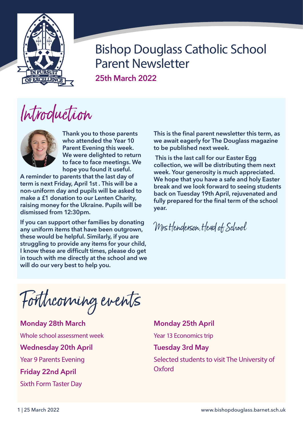

**25th March 2022**

# Introduction



**Thank you to those parents who attended the Year 10 Parent Evening this week. We were delighted to return to face to face meetings. We hope you found it useful.** 

**A reminder to parents that the last day of term is next Friday, April 1st . This will be a non-uniform day and pupils will be asked to make a £1 donation to our Lenten Charity, raising money for the Ukraine. Pupils will be dismissed from 12:30pm.**

**If you can support other families by donating any uniform items that have been outgrown, these would be helpful. Similarly, if you are struggling to provide any items for your child, I know these are difficult times, please do get in touch with me directly at the school and we will do our very best to help you.** 

**This is the final parent newsletter this term, as we await eagerly for The Douglass magazine to be published next week.**

 **This is the last call for our Easter Egg collection, we will be distributing them next week. Your generosity is much appreciated. We hope that you have a safe and holy Easter break and we look forward to seeing students back on Tuesday 19th April, rejuvenated and fully prepared for the final term of the school year.**

Mrs Henderson, Head of School

Forthcoming events

**Monday 28th March**  Whole school assessment week **Wednesday 20th April**  Year 9 Parents Evening **Friday 22nd April**

Sixth Form Taster Day

**Monday 25th April** 

Year 13 Economics trip

**Tuesday 3rd May** 

Selected students to visit The University of **Oxford**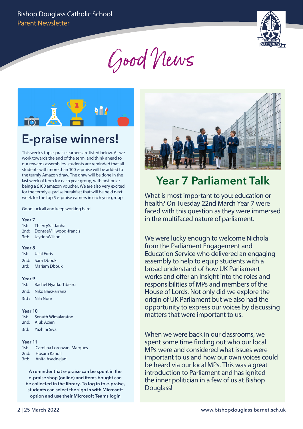

Good News



## **E-praise winners!**

This week's top e-praise earners are listed below. As we work towards the end of the term, and think ahead to our rewards assemblies, students are reminded that all students with more than 100 e-praise will be added to the termly Amazon draw. The draw will be done in the last week of term for each year group, with first prize being a £100 amazon voucher. We are also very excited for the termly e-praise breakfast that will be held next week for the top 5 e-praise earners in each year group.

Good luck all and keep working hard.

#### **Year 7**

| 1st: ThierrySaldanha        |
|-----------------------------|
| 2nd: DontaeMillwood-francis |
| 3rd: JaydenWilson           |

#### **Year 8**

1st: Jalal Edris 2nd: Sara Dbouk 3rd: Mariam Dbouk

#### **Year 9**

1st: Rachel Nyarko Tibeiru 2nd: Niko Baez-arranz 3rd : Nila Nour

#### **Year 10**

| 1st: Senuth Wimalaratne |
|-------------------------|
| 2nd: Aluk Acien         |
| 3rd: Yazhini Siva       |

#### **Year 11**

| 1st: |  | Carolina Lorenzani Marques |  |
|------|--|----------------------------|--|
|------|--|----------------------------|--|

- 2nd: Hosam Kandil
- 3rd: Anita Asadnejad

**A reminder that e-praise can be spent in the e-praise shop (online) and items bought can be collected in the library. To log in to e-praise, students can select the sign in with Microsoft option and use their Microsoft Teams login** 



## **Year 7 Parliament Talk**

What is most important to you: education or health? On Tuesday 22nd March Year 7 were faced with this question as they were immersed in the multifaced nature of parliament.

We were lucky enough to welcome Nichola from the Parliament Engagement and Education Service who delivered an engaging assembly to help to equip students with a broad understand of how UK Parliament works and offer an insight into the roles and responsibilities of MPs and members of the House of Lords. Not only did we explore the origin of UK Parliament but we also had the opportunity to express our voices by discussing matters that were important to us.

When we were back in our classrooms, we spent some time finding out who our local MPs were and considered what issues were important to us and how our own voices could be heard via our local MPs. This was a great introduction to Parliament and has ignited the inner politician in a few of us at Bishop Douglass!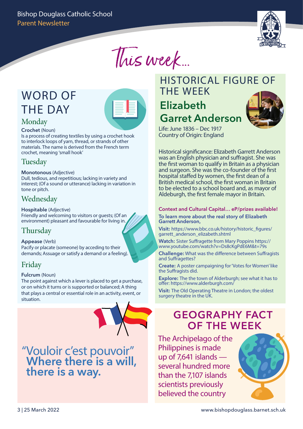

This week...

## WORD OF THE DAY



#### Monday **Crochet** (Noun)

Is a process of creating textiles by using a crochet hook to interlock loops of yarn, thread, or strands of other materials. The name is derived from the French term crochet, meaning 'small hook'

### **Tuesday**

#### **Monotonous** (Adjective)

Dull, tedious, and repetitious; lacking in variety and interest; (Of a sound or utterance) lacking in variation in tone or pitch.

### Wednesday

#### **Hospitable** (Adjective)

Friendly and welcoming to visitors or guests; (Of an environment) pleasant and favourable for living in.

### Thursday

#### **Appease** (Verb)

Pacify or placate (someone) by acceding to their demands; Assuage or satisfy a demand or a feeling).

### Friday

#### **Fulcrum** (Noun)

The point against which a lever is placed to get a purchase, or on which it turns or is supported or balanced; A thing that plays a central or essential role in an activity, event, or situation.

"Vouloir c'est pouvoir" **Where there is a will, there is a way.** 

## HISTORICAL FIGURE OF THE WEEK

## **Elizabeth Garret Anderson**



Life: June 1836 – Dec 1917 Country of Origin: England

Historical significance: Elizabeth Garrett Anderson was an English physician and suffragist. She was the first woman to qualify in Britain as a physician and surgeon. She was the co-founder of the first hospital staffed by women, the first dean of a British medical school, the first woman in Britain to be elected to a school board and, as mayor of Aldeburgh, the first female mayor in Britain.

#### **Context and Cultural Capital… eP/prizes available! To learn more about the real story of Elizabeth Garrett Anderson,**

**Visit:** https://www.bbc.co.uk/history/historic\_figures/ garrett\_anderson\_elizabeth.shtml

**Watch:** Sister Suffragette from Mary Poppins https:// www.youtube.com/watch?v=Ds8cKgPdE6M&t=79s

**Challenge:** What was the difference between Suffragists and Suffragettes?

**Create:** A poster campaigning for 'Votes for Women' like the Suffragists did.

**Explore:** The the town of Alderburgh; see what it has to offer: https://www.alderburgh.com/

**Visit:** The Old Operating Theatre in London; the oldest surgery theatre in the UK.

## **GEOGRAPHY FACT OF THE WEEK**

The Archipelago of the Philippines is made up of 7,641 islands several hundred more than the 7,107 islands scientists previously believed the country

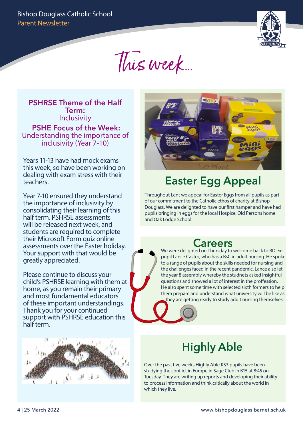

This week...

**PSHRSE Theme of the Half Term:** Inclusivity **PSHE Focus of the Week:**  Understanding the importance of inclusivity (Year 7-10)

Years 11-13 have had mock exams this week, so have been working on dealing with exam stress with their teachers.

Year 7-10 ensured they understand the importance of inclusivity by consolidating their learning of this half term. PSHRSE assessments will be released next week, and students are required to complete their Microsoft Form quiz online assessments over the Easter holiday. Your support with that would be greatly appreciated.

Please continue to discuss your child's PSHRSE learning with them at home, as you remain their primary and most fundamental educators of these important understandings. Thank you for your continued support with PSHRSE education this half term.





## **Easter Egg Appeal**

Throughout Lent we appeal for Easter Eggs from all pupils as part of our commitment to the Catholic ethos of charity at Bishop Douglass. We are delighted to have our first hamper and have had pupils bringing in eggs for the local Hospice, Old Persons home and Oak Lodge School.

## **Careers**

We were delighted on Thursday to welcome back to BD expupil Lance Castro, who has a BsC in adult nursing. He spoke to a range of pupils about the skills needed for nursing and the challenges faced in the recent pandemic. Lance also let the year 8 assembly whereby the studnets asked insightful questions and showed a lot of interest in the proffession. He also spent some time with selected sixth formers to help them prepare and understand what university will be like as they are getting ready to study adult nursing themselves.

## **Highly Able**

Over the past five weeks Highly Able KS3 pupils have been studying the conflict in Europe in Sage Club in B15 at 8:45 on Tuesday. They are writing up reports and developing their ability to process information and think critically about the world in which they live.